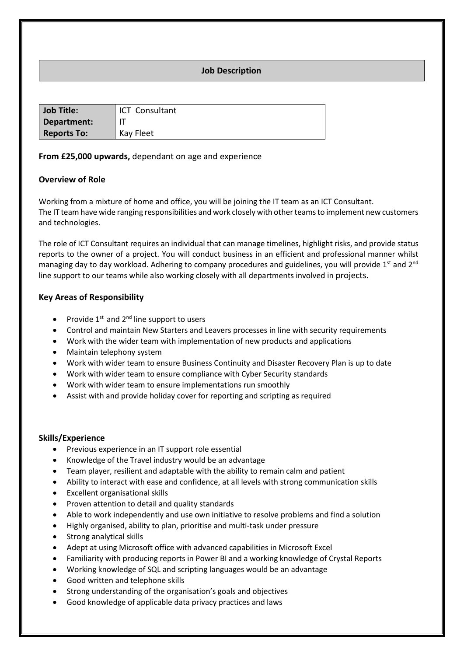# **Job Description**

| <b>Job Title:</b>  | <b>ICT</b> Consultant |
|--------------------|-----------------------|
| Department:        |                       |
| <b>Reports To:</b> | <b>Kay Fleet</b>      |

# **From £25,000 upwards,** dependant on age and experience

### **Overview of Role**

Working from a mixture of home and office, you will be joining the IT team as an ICT Consultant. The IT team have wide ranging responsibilities and work closely with other teams to implement new customers and technologies.

The role of ICT Consultant requires an individual that can manage timelines, highlight risks, and provide status reports to the owner of a project. You will conduct business in an efficient and professional manner whilst managing day to day workload. Adhering to company procedures and guidelines, you will provide 1<sup>st</sup> and 2<sup>nd</sup> line support to our teams while also working closely with all departments involved in projects.

### **Key Areas of Responsibility**

- Provide  $1^{st}$  and  $2^{nd}$  line support to users
- Control and maintain New Starters and Leavers processes in line with security requirements
- Work with the wider team with implementation of new products and applications
- Maintain telephony system
- Work with wider team to ensure Business Continuity and Disaster Recovery Plan is up to date
- Work with wider team to ensure compliance with Cyber Security standards
- Work with wider team to ensure implementations run smoothly
- Assist with and provide holiday cover for reporting and scripting as required

#### **Skills/Experience**

- Previous experience in an IT support role essential
- Knowledge of the Travel industry would be an advantage
- Team player, resilient and adaptable with the ability to remain calm and patient
- Ability to interact with ease and confidence, at all levels with strong communication skills
- Excellent organisational skills
- Proven attention to detail and quality standards
- Able to work independently and use own initiative to resolve problems and find a solution
- Highly organised, ability to plan, prioritise and multi-task under pressure
- Strong analytical skills
- Adept at using Microsoft office with advanced capabilities in Microsoft Excel
- Familiarity with producing reports in Power BI and a working knowledge of Crystal Reports
- Working knowledge of SQL and scripting languages would be an advantage
- Good written and telephone skills
- Strong understanding of the organisation's goals and objectives
- Good knowledge of applicable data privacy practices and laws